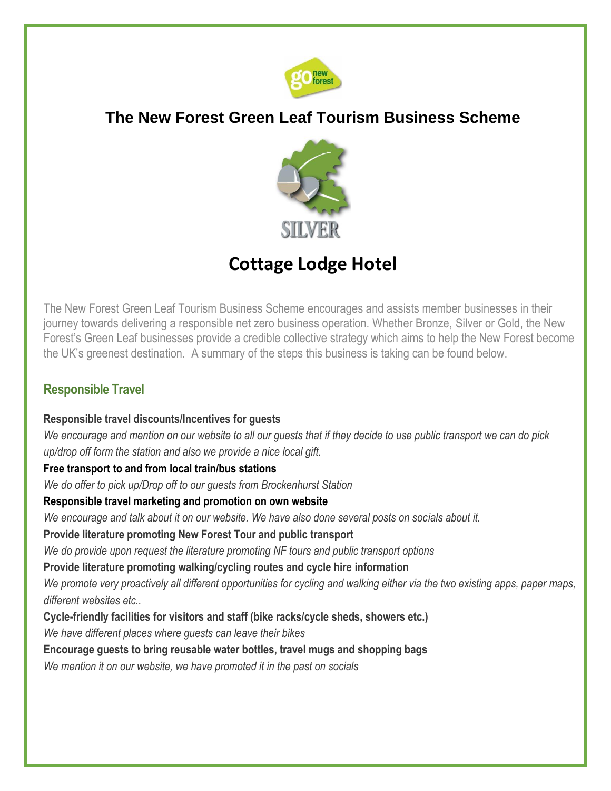

# **The New Forest Green Leaf Tourism Business Scheme**



# **Cottage Lodge Hotel**

The New Forest Green Leaf Tourism Business Scheme encourages and assists member businesses in their journey towards delivering a responsible net zero business operation. Whether Bronze, Silver or Gold, the New Forest's Green Leaf businesses provide a credible collective strategy which aims to help the New Forest become the UK's greenest destination. A summary of the steps this business is taking can be found below.

## **Responsible Travel**

#### **Responsible travel discounts/Incentives for guests**

*We encourage and mention on our website to all our guests that if they decide to use public transport we can do pick up/drop off form the station and also we provide a nice local gift.*

#### **Free transport to and from local train/bus stations**

*We do offer to pick up/Drop off to our guests from Brockenhurst Station*

#### **Responsible travel marketing and promotion on own website**

*We encourage and talk about it on our website. We have also done several posts on socials about it.*

#### **Provide literature promoting New Forest Tour and public transport**

*We do provide upon request the literature promoting NF tours and public transport options*

#### **Provide literature promoting walking/cycling routes and cycle hire information**

*We promote very proactively all different opportunities for cycling and walking either via the two existing apps, paper maps, different websites etc..*

**Cycle-friendly facilities for visitors and staff (bike racks/cycle sheds, showers etc.)** 

*We have different places where guests can leave their bikes*

#### **Encourage guests to bring reusable water bottles, travel mugs and shopping bags**

*We mention it on our website, we have promoted it in the past on socials*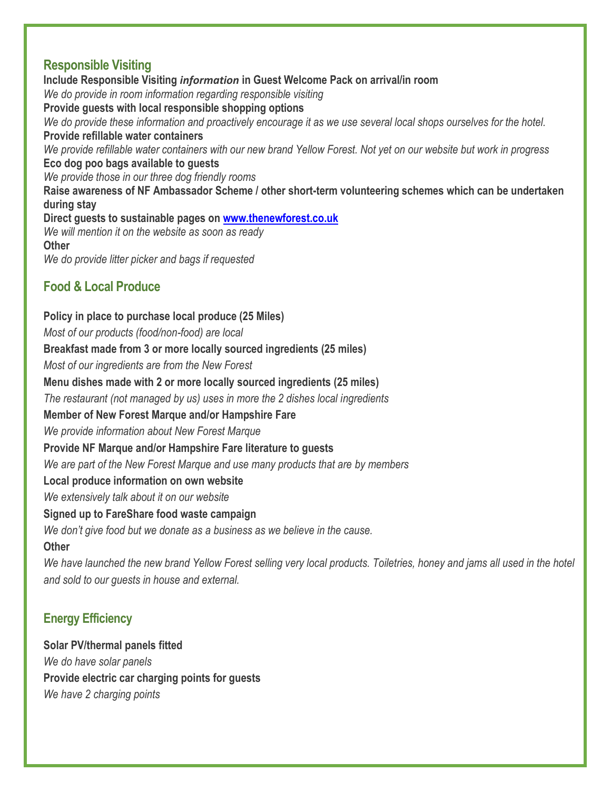#### **Responsible Visiting**

**Include Responsible Visiting** *information* **in Guest Welcome Pack on arrival/in room** *We do provide in room information regarding responsible visiting* **Provide guests with local responsible shopping options** *We do provide these information and proactively encourage it as we use several local shops ourselves for the hotel.* **Provide refillable water containers** *We provide refillable water containers with our new brand Yellow Forest. Not yet on our website but work in progress* **Eco dog poo bags available to guests** *We provide those in our three dog friendly rooms* **Raise awareness of NF Ambassador Scheme / other short-term volunteering schemes which can be undertaken during stay Direct guests to sustainable pages on [www.thenewforest.co.uk](http://www.thenewforest.co.uk/)** *We will mention it on the website as soon as ready* **Other**  *We do provide litter picker and bags if requested*

#### **Food & Local Produce**

**Policy in place to purchase local produce (25 Miles)** *Most of our products (food/non-food) are local* **Breakfast made from 3 or more locally sourced ingredients (25 miles)** *Most of our ingredients are from the New Forest* **Menu dishes made with 2 or more locally sourced ingredients (25 miles)** *The restaurant (not managed by us) uses in more the 2 dishes local ingredients* **Member of New Forest Marque and/or Hampshire Fare** *We provide information about New Forest Marque* **Provide NF Marque and/or Hampshire Fare literature to guests** *We are part of the New Forest Marque and use many products that are by members* **Local produce information on own website**  *We extensively talk about it on our website* **Signed up to FareShare food waste campaign** *We don't give food but we donate as a business as we believe in the cause.* **Other**

*We have launched the new brand Yellow Forest selling very local products. Toiletries, honey and jams all used in the hotel and sold to our guests in house and external.*

#### **Energy Efficiency**

**Solar PV/thermal panels fitted** *We do have solar panels* **Provide electric car charging points for guests** *We have 2 charging points*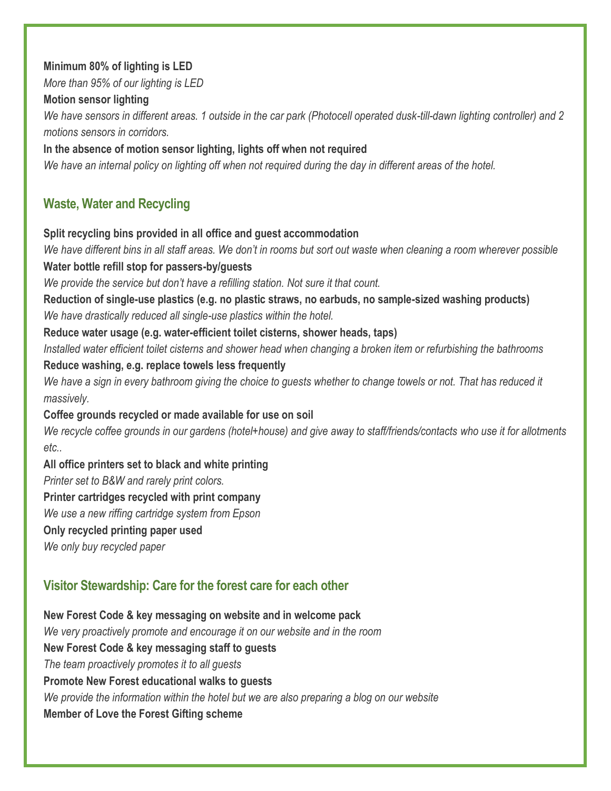#### **Minimum 80% of lighting is LED**

*More than 95% of our lighting is LED*

#### **Motion sensor lighting**

*We have sensors in different areas. 1 outside in the car park (Photocell operated dusk-till-dawn lighting controller) and 2 motions sensors in corridors.*

#### **In the absence of motion sensor lighting, lights off when not required**

*We have an internal policy on lighting off when not required during the day in different areas of the hotel.*

## **Waste, Water and Recycling**

#### **Split recycling bins provided in all office and guest accommodation**

*We have different bins in all staff areas. We don't in rooms but sort out waste when cleaning a room wherever possible* **Water bottle refill stop for passers-by/guests**

*We provide the service but don't have a refilling station. Not sure it that count.*

**Reduction of single-use plastics (e.g. no plastic straws, no earbuds, no sample-sized washing products)**  *We have drastically reduced all single-use plastics within the hotel.*

**Reduce water usage (e.g. water-efficient toilet cisterns, shower heads, taps)**

*Installed water efficient toilet cisterns and shower head when changing a broken item or refurbishing the bathrooms*

#### **Reduce washing, e.g. replace towels less frequently**

*We have a sign in every bathroom giving the choice to guests whether to change towels or not. That has reduced it massively.*

#### **Coffee grounds recycled or made available for use on soil**

*We recycle coffee grounds in our gardens (hotel+house) and give away to staff/friends/contacts who use it for allotments etc..*

#### **All office printers set to black and white printing**

*Printer set to B&W and rarely print colors.*

#### **Printer cartridges recycled with print company**

*We use a new riffing cartridge system from Epson*

#### **Only recycled printing paper used**

*We only buy recycled paper*

## **Visitor Stewardship: Care for the forest care for each other**

**New Forest Code & key messaging on website and in welcome pack** *We very proactively promote and encourage it on our website and in the room* **New Forest Code & key messaging staff to guests** *The team proactively promotes it to all guests* **Promote New Forest educational walks to guests**  *We provide the information within the hotel but we are also preparing a blog on our website* **Member of Love the Forest Gifting scheme**